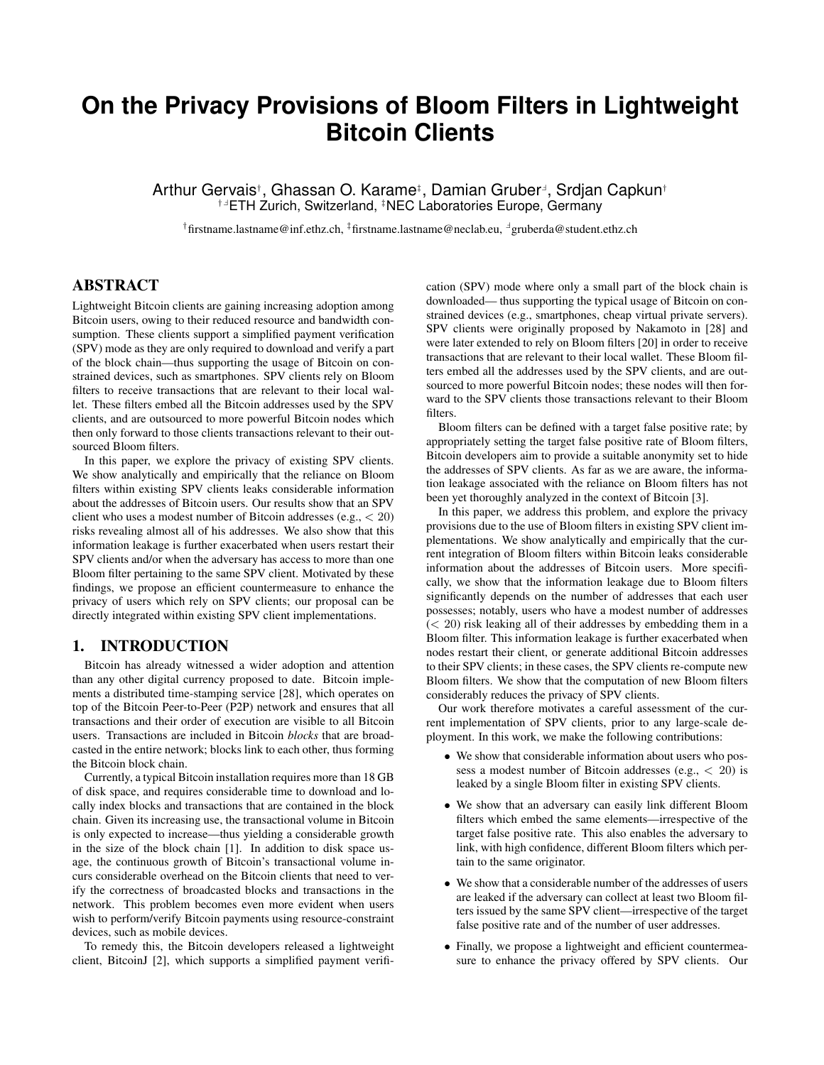# **On the Privacy Provisions of Bloom Filters in Lightweight Bitcoin Clients**

Arthur Gervais† , Ghassan O. Karame‡ , Damian Gruber` , Srdjan Capkun† <sup>† J</sup>ETH Zurich, Switzerland, <sup>‡</sup>NEC Laboratories Europe, Germany

<sup>†</sup> firstname.lastname@inf.ethz.ch, <sup>‡</sup>firstname.lastname@neclab.eu, <sup>∃</sup>gruberda@student.ethz.ch

# ABSTRACT

Lightweight Bitcoin clients are gaining increasing adoption among Bitcoin users, owing to their reduced resource and bandwidth consumption. These clients support a simplified payment verification (SPV) mode as they are only required to download and verify a part of the block chain—thus supporting the usage of Bitcoin on constrained devices, such as smartphones. SPV clients rely on Bloom filters to receive transactions that are relevant to their local wallet. These filters embed all the Bitcoin addresses used by the SPV clients, and are outsourced to more powerful Bitcoin nodes which then only forward to those clients transactions relevant to their outsourced Bloom filters.

In this paper, we explore the privacy of existing SPV clients. We show analytically and empirically that the reliance on Bloom filters within existing SPV clients leaks considerable information about the addresses of Bitcoin users. Our results show that an SPV client who uses a modest number of Bitcoin addresses (e.g.,  $<$  20) risks revealing almost all of his addresses. We also show that this information leakage is further exacerbated when users restart their SPV clients and/or when the adversary has access to more than one Bloom filter pertaining to the same SPV client. Motivated by these findings, we propose an efficient countermeasure to enhance the privacy of users which rely on SPV clients; our proposal can be directly integrated within existing SPV client implementations.

## 1. INTRODUCTION

Bitcoin has already witnessed a wider adoption and attention than any other digital currency proposed to date. Bitcoin implements a distributed time-stamping service [28], which operates on top of the Bitcoin Peer-to-Peer (P2P) network and ensures that all transactions and their order of execution are visible to all Bitcoin users. Transactions are included in Bitcoin *blocks* that are broadcasted in the entire network; blocks link to each other, thus forming the Bitcoin block chain.

Currently, a typical Bitcoin installation requires more than 18 GB of disk space, and requires considerable time to download and locally index blocks and transactions that are contained in the block chain. Given its increasing use, the transactional volume in Bitcoin is only expected to increase—thus yielding a considerable growth in the size of the block chain [1]. In addition to disk space usage, the continuous growth of Bitcoin's transactional volume incurs considerable overhead on the Bitcoin clients that need to verify the correctness of broadcasted blocks and transactions in the network. This problem becomes even more evident when users wish to perform/verify Bitcoin payments using resource-constraint devices, such as mobile devices.

To remedy this, the Bitcoin developers released a lightweight client, BitcoinJ [2], which supports a simplified payment verification (SPV) mode where only a small part of the block chain is downloaded— thus supporting the typical usage of Bitcoin on constrained devices (e.g., smartphones, cheap virtual private servers). SPV clients were originally proposed by Nakamoto in [28] and were later extended to rely on Bloom filters [20] in order to receive transactions that are relevant to their local wallet. These Bloom filters embed all the addresses used by the SPV clients, and are outsourced to more powerful Bitcoin nodes; these nodes will then forward to the SPV clients those transactions relevant to their Bloom filters.

Bloom filters can be defined with a target false positive rate; by appropriately setting the target false positive rate of Bloom filters, Bitcoin developers aim to provide a suitable anonymity set to hide the addresses of SPV clients. As far as we are aware, the information leakage associated with the reliance on Bloom filters has not been yet thoroughly analyzed in the context of Bitcoin [3].

In this paper, we address this problem, and explore the privacy provisions due to the use of Bloom filters in existing SPV client implementations. We show analytically and empirically that the current integration of Bloom filters within Bitcoin leaks considerable information about the addresses of Bitcoin users. More specifically, we show that the information leakage due to Bloom filters significantly depends on the number of addresses that each user possesses; notably, users who have a modest number of addresses  $(< 20$ ) risk leaking all of their addresses by embedding them in a Bloom filter. This information leakage is further exacerbated when nodes restart their client, or generate additional Bitcoin addresses to their SPV clients; in these cases, the SPV clients re-compute new Bloom filters. We show that the computation of new Bloom filters considerably reduces the privacy of SPV clients.

Our work therefore motivates a careful assessment of the current implementation of SPV clients, prior to any large-scale deployment. In this work, we make the following contributions:

- We show that considerable information about users who possess a modest number of Bitcoin addresses (e.g., < 20) is leaked by a single Bloom filter in existing SPV clients.
- We show that an adversary can easily link different Bloom filters which embed the same elements—irrespective of the target false positive rate. This also enables the adversary to link, with high confidence, different Bloom filters which pertain to the same originator.
- We show that a considerable number of the addresses of users are leaked if the adversary can collect at least two Bloom filters issued by the same SPV client—irrespective of the target false positive rate and of the number of user addresses.
- Finally, we propose a lightweight and efficient countermeasure to enhance the privacy offered by SPV clients. Our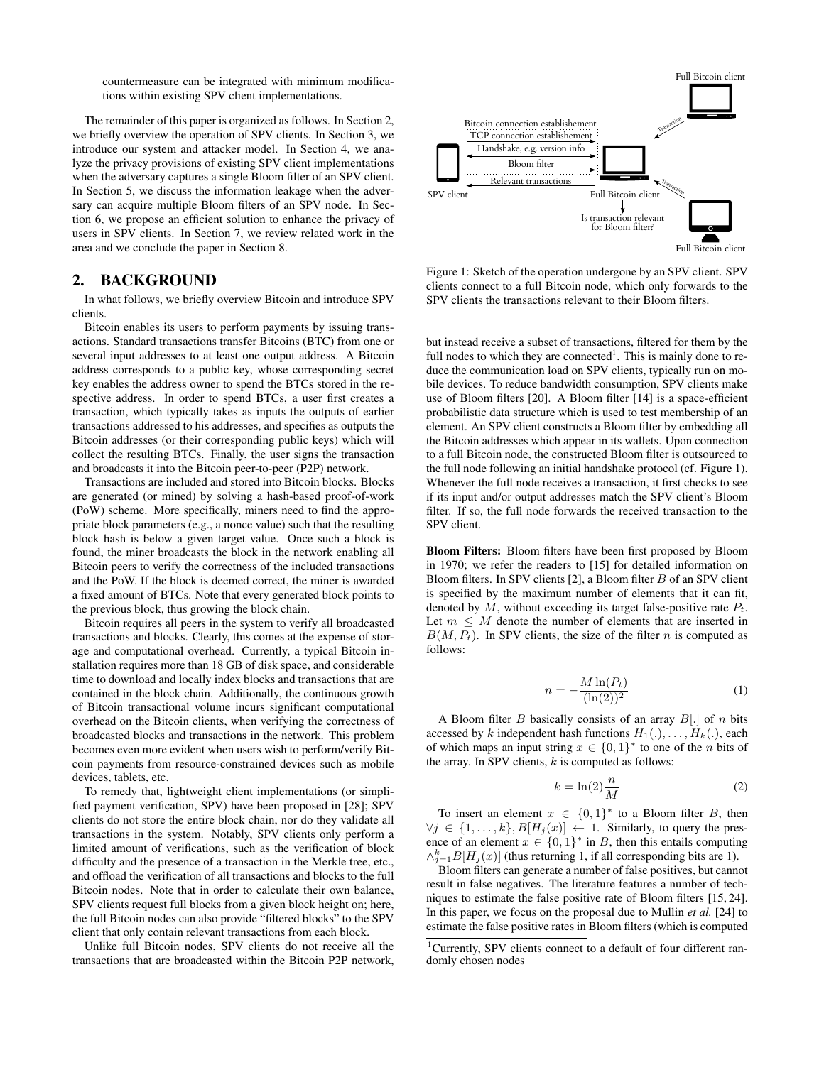countermeasure can be integrated with minimum modifications within existing SPV client implementations.

The remainder of this paper is organized as follows. In Section 2, we briefly overview the operation of SPV clients. In Section 3, we introduce our system and attacker model. In Section 4, we analyze the privacy provisions of existing SPV client implementations when the adversary captures a single Bloom filter of an SPV client. In Section 5, we discuss the information leakage when the adversary can acquire multiple Bloom filters of an SPV node. In Section 6, we propose an efficient solution to enhance the privacy of users in SPV clients. In Section 7, we review related work in the area and we conclude the paper in Section 8.

# 2. BACKGROUND

In what follows, we briefly overview Bitcoin and introduce SPV clients.

Bitcoin enables its users to perform payments by issuing transactions. Standard transactions transfer Bitcoins (BTC) from one or several input addresses to at least one output address. A Bitcoin address corresponds to a public key, whose corresponding secret key enables the address owner to spend the BTCs stored in the respective address. In order to spend BTCs, a user first creates a transaction, which typically takes as inputs the outputs of earlier transactions addressed to his addresses, and specifies as outputs the Bitcoin addresses (or their corresponding public keys) which will collect the resulting BTCs. Finally, the user signs the transaction and broadcasts it into the Bitcoin peer-to-peer (P2P) network.

Transactions are included and stored into Bitcoin blocks. Blocks are generated (or mined) by solving a hash-based proof-of-work (PoW) scheme. More specifically, miners need to find the appropriate block parameters (e.g., a nonce value) such that the resulting block hash is below a given target value. Once such a block is found, the miner broadcasts the block in the network enabling all Bitcoin peers to verify the correctness of the included transactions and the PoW. If the block is deemed correct, the miner is awarded a fixed amount of BTCs. Note that every generated block points to the previous block, thus growing the block chain.

Bitcoin requires all peers in the system to verify all broadcasted transactions and blocks. Clearly, this comes at the expense of storage and computational overhead. Currently, a typical Bitcoin installation requires more than 18 GB of disk space, and considerable time to download and locally index blocks and transactions that are contained in the block chain. Additionally, the continuous growth of Bitcoin transactional volume incurs significant computational overhead on the Bitcoin clients, when verifying the correctness of broadcasted blocks and transactions in the network. This problem becomes even more evident when users wish to perform/verify Bitcoin payments from resource-constrained devices such as mobile devices, tablets, etc.

To remedy that, lightweight client implementations (or simplified payment verification, SPV) have been proposed in [28]; SPV clients do not store the entire block chain, nor do they validate all transactions in the system. Notably, SPV clients only perform a limited amount of verifications, such as the verification of block difficulty and the presence of a transaction in the Merkle tree, etc., and offload the verification of all transactions and blocks to the full Bitcoin nodes. Note that in order to calculate their own balance, SPV clients request full blocks from a given block height on; here, the full Bitcoin nodes can also provide "filtered blocks" to the SPV client that only contain relevant transactions from each block.

Unlike full Bitcoin nodes, SPV clients do not receive all the transactions that are broadcasted within the Bitcoin P2P network,



Figure 1: Sketch of the operation undergone by an SPV client. SPV clients connect to a full Bitcoin node, which only forwards to the SPV clients the transactions relevant to their Bloom filters.

but instead receive a subset of transactions, filtered for them by the full nodes to which they are connected<sup>1</sup>. This is mainly done to reduce the communication load on SPV clients, typically run on mobile devices. To reduce bandwidth consumption, SPV clients make use of Bloom filters [20]. A Bloom filter [14] is a space-efficient probabilistic data structure which is used to test membership of an element. An SPV client constructs a Bloom filter by embedding all the Bitcoin addresses which appear in its wallets. Upon connection to a full Bitcoin node, the constructed Bloom filter is outsourced to the full node following an initial handshake protocol (cf. Figure 1). Whenever the full node receives a transaction, it first checks to see if its input and/or output addresses match the SPV client's Bloom filter. If so, the full node forwards the received transaction to the SPV client.

Bloom Filters: Bloom filters have been first proposed by Bloom in 1970; we refer the readers to [15] for detailed information on Bloom filters. In SPV clients  $[2]$ , a Bloom filter  $B$  of an SPV client is specified by the maximum number of elements that it can fit, denoted by  $M$ , without exceeding its target false-positive rate  $P_t$ . Let  $m \leq M$  denote the number of elements that are inserted in  $B(M, P_t)$ . In SPV clients, the size of the filter *n* is computed as follows:

$$
n = -\frac{M\ln(P_t)}{(\ln(2))^2} \tag{1}
$$

A Bloom filter B basically consists of an array  $B(.)$  of n bits accessed by k independent hash functions  $H_1(.), \ldots, H_k(.)$ , each of which maps an input string  $x \in \{0,1\}^*$  to one of the *n* bits of the array. In SPV clients,  $k$  is computed as follows:

$$
k = \ln(2)\frac{n}{M} \tag{2}
$$

To insert an element  $x \in \{0,1\}^*$  to a Bloom filter B, then  $\forall j \in \{1, \ldots, k\}, B[H_j(x)] \leftarrow 1$ . Similarly, to query the presence of an element  $x \in \{0,1\}^*$  in B, then this entails computing  $\wedge_{j=1}^k B[H_j(x)]$  (thus returning 1, if all corresponding bits are 1).

Bloom filters can generate a number of false positives, but cannot result in false negatives. The literature features a number of techniques to estimate the false positive rate of Bloom filters [15, 24]. In this paper, we focus on the proposal due to Mullin *et al.* [24] to estimate the false positive rates in Bloom filters (which is computed

<sup>&</sup>lt;sup>1</sup>Currently, SPV clients connect to a default of four different randomly chosen nodes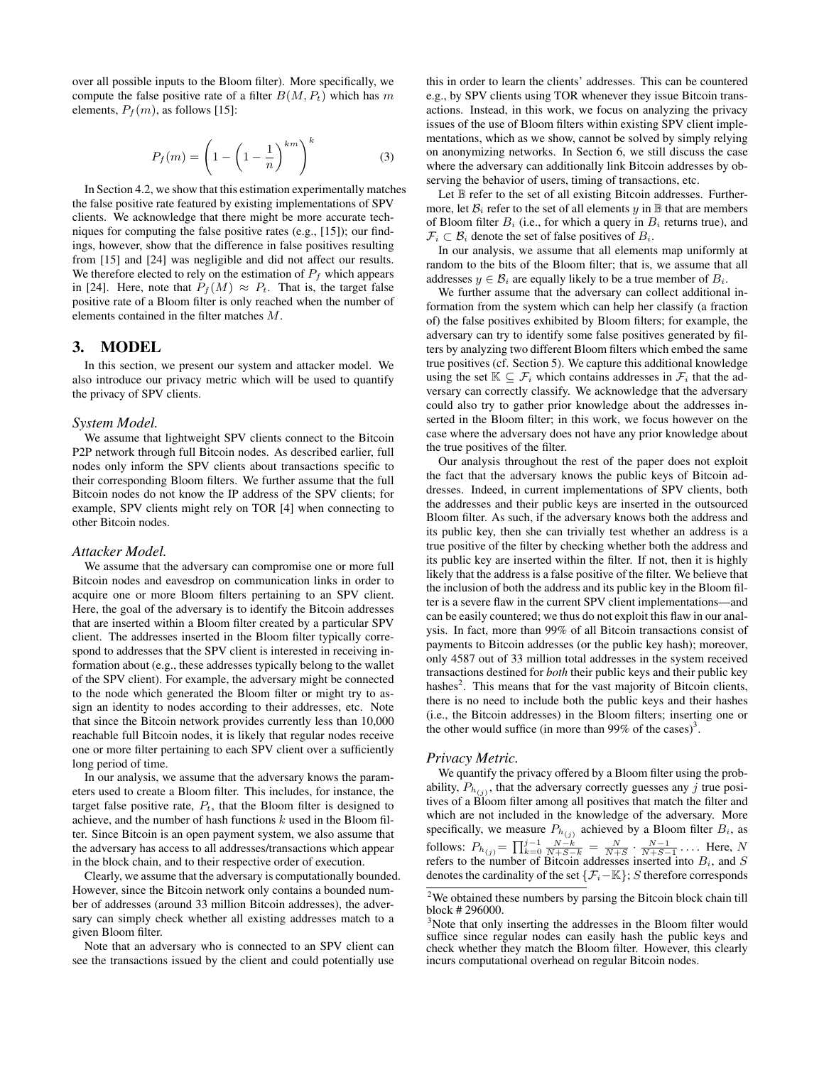over all possible inputs to the Bloom filter). More specifically, we compute the false positive rate of a filter  $B(M, P_t)$  which has m elements,  $P_f(m)$ , as follows [15]:

$$
P_f(m) = \left(1 - \left(1 - \frac{1}{n}\right)^{km}\right)^k\tag{3}
$$

In Section 4.2, we show that this estimation experimentally matches the false positive rate featured by existing implementations of SPV clients. We acknowledge that there might be more accurate techniques for computing the false positive rates (e.g., [15]); our findings, however, show that the difference in false positives resulting from [15] and [24] was negligible and did not affect our results. We therefore elected to rely on the estimation of  $P_f$  which appears in [24]. Here, note that  $P_f(M) \approx P_t$ . That is, the target false positive rate of a Bloom filter is only reached when the number of elements contained in the filter matches M.

## 3. MODEL

In this section, we present our system and attacker model. We also introduce our privacy metric which will be used to quantify the privacy of SPV clients.

### *System Model.*

We assume that lightweight SPV clients connect to the Bitcoin P2P network through full Bitcoin nodes. As described earlier, full nodes only inform the SPV clients about transactions specific to their corresponding Bloom filters. We further assume that the full Bitcoin nodes do not know the IP address of the SPV clients; for example, SPV clients might rely on TOR [4] when connecting to other Bitcoin nodes.

#### *Attacker Model.*

We assume that the adversary can compromise one or more full Bitcoin nodes and eavesdrop on communication links in order to acquire one or more Bloom filters pertaining to an SPV client. Here, the goal of the adversary is to identify the Bitcoin addresses that are inserted within a Bloom filter created by a particular SPV client. The addresses inserted in the Bloom filter typically correspond to addresses that the SPV client is interested in receiving information about (e.g., these addresses typically belong to the wallet of the SPV client). For example, the adversary might be connected to the node which generated the Bloom filter or might try to assign an identity to nodes according to their addresses, etc. Note that since the Bitcoin network provides currently less than 10,000 reachable full Bitcoin nodes, it is likely that regular nodes receive one or more filter pertaining to each SPV client over a sufficiently long period of time.

In our analysis, we assume that the adversary knows the parameters used to create a Bloom filter. This includes, for instance, the target false positive rate,  $P_t$ , that the Bloom filter is designed to achieve, and the number of hash functions  $k$  used in the Bloom filter. Since Bitcoin is an open payment system, we also assume that the adversary has access to all addresses/transactions which appear in the block chain, and to their respective order of execution.

Clearly, we assume that the adversary is computationally bounded. However, since the Bitcoin network only contains a bounded number of addresses (around 33 million Bitcoin addresses), the adversary can simply check whether all existing addresses match to a given Bloom filter.

Note that an adversary who is connected to an SPV client can see the transactions issued by the client and could potentially use

this in order to learn the clients' addresses. This can be countered e.g., by SPV clients using TOR whenever they issue Bitcoin transactions. Instead, in this work, we focus on analyzing the privacy issues of the use of Bloom filters within existing SPV client implementations, which as we show, cannot be solved by simply relying on anonymizing networks. In Section 6, we still discuss the case where the adversary can additionally link Bitcoin addresses by observing the behavior of users, timing of transactions, etc.

Let  $\mathbb B$  refer to the set of all existing Bitcoin addresses. Furthermore, let  $\mathcal{B}_i$  refer to the set of all elements y in  $\mathbb B$  that are members of Bloom filter  $B_i$  (i.e., for which a query in  $B_i$  returns true), and  $\mathcal{F}_i \subset \mathcal{B}_i$  denote the set of false positives of  $B_i$ .

In our analysis, we assume that all elements map uniformly at random to the bits of the Bloom filter; that is, we assume that all addresses  $y \in \mathcal{B}_i$  are equally likely to be a true member of  $B_i$ .

We further assume that the adversary can collect additional information from the system which can help her classify (a fraction of) the false positives exhibited by Bloom filters; for example, the adversary can try to identify some false positives generated by filters by analyzing two different Bloom filters which embed the same true positives (cf. Section 5). We capture this additional knowledge using the set  $K \subseteq \mathcal{F}_i$  which contains addresses in  $\mathcal{F}_i$  that the adversary can correctly classify. We acknowledge that the adversary could also try to gather prior knowledge about the addresses inserted in the Bloom filter; in this work, we focus however on the case where the adversary does not have any prior knowledge about the true positives of the filter.

Our analysis throughout the rest of the paper does not exploit the fact that the adversary knows the public keys of Bitcoin addresses. Indeed, in current implementations of SPV clients, both the addresses and their public keys are inserted in the outsourced Bloom filter. As such, if the adversary knows both the address and its public key, then she can trivially test whether an address is a true positive of the filter by checking whether both the address and its public key are inserted within the filter. If not, then it is highly likely that the address is a false positive of the filter. We believe that the inclusion of both the address and its public key in the Bloom filter is a severe flaw in the current SPV client implementations—and can be easily countered; we thus do not exploit this flaw in our analysis. In fact, more than 99% of all Bitcoin transactions consist of payments to Bitcoin addresses (or the public key hash); moreover, only 4587 out of 33 million total addresses in the system received transactions destined for *both* their public keys and their public key hashes<sup>2</sup>. This means that for the vast majority of Bitcoin clients, there is no need to include both the public keys and their hashes (i.e., the Bitcoin addresses) in the Bloom filters; inserting one or the other would suffice (in more than  $99\%$  of the cases)<sup>3</sup>.

#### *Privacy Metric.*

We quantify the privacy offered by a Bloom filter using the probability,  $P_{h(j)}$ , that the adversary correctly guesses any j true positives of a Bloom filter among all positives that match the filter and which are not included in the knowledge of the adversary. More specifically, we measure  $P_{h(j)}$  achieved by a Bloom filter  $B_i$ , as follows:  $P_{h_{(j)}} = \prod_{k=0}^{j-1} \frac{N-k}{N+S-k} = \frac{N}{N+S} \cdot \frac{N-1}{N+S-1} \dots$  Here, N refers to the number of Bitcoin addresses inserted into  $B_i$ , and S denotes the cardinality of the set  $\{\mathcal{F}_i-\mathbb{K}\}\; S$  therefore corresponds

<sup>2</sup>We obtained these numbers by parsing the Bitcoin block chain till block # 296000.

<sup>&</sup>lt;sup>3</sup>Note that only inserting the addresses in the Bloom filter would suffice since regular nodes can easily hash the public keys and check whether they match the Bloom filter. However, this clearly incurs computational overhead on regular Bitcoin nodes.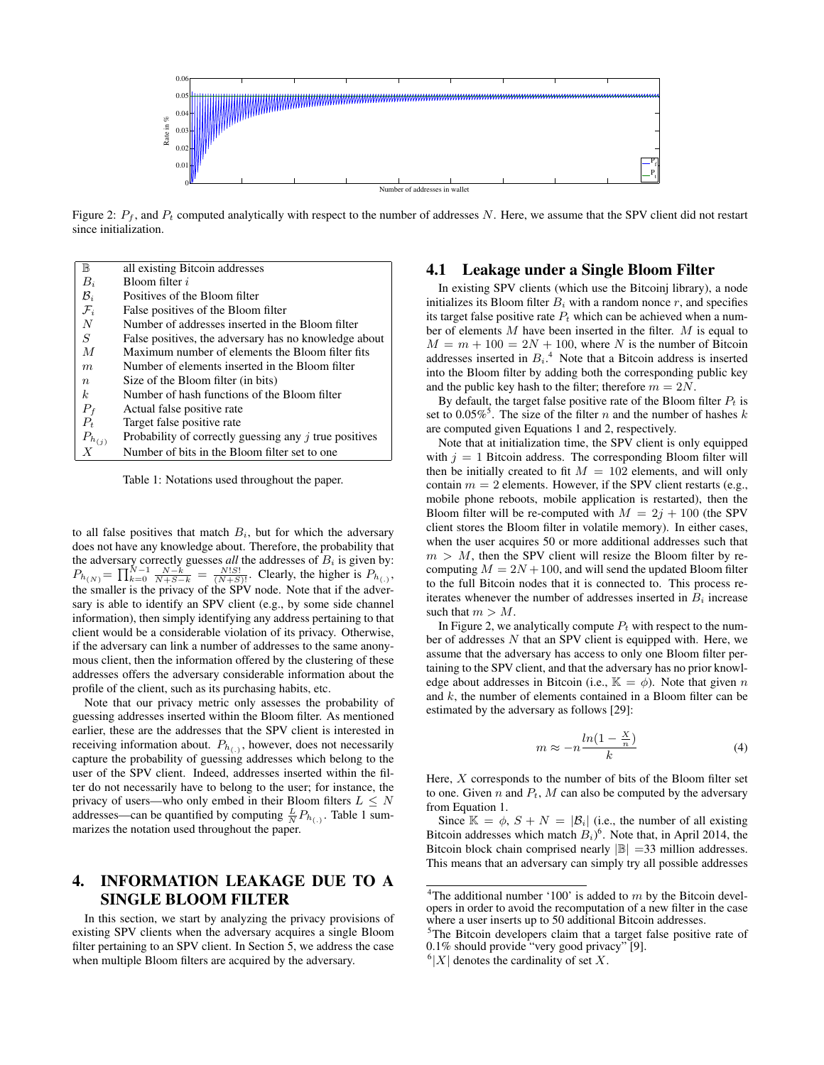

Figure 2:  $P_f$ , and  $P_t$  computed analytically with respect to the number of addresses N. Here, we assume that the SPV client did not restart since initialization.

| ℝ                | all existing Bitcoin addresses                                    |
|------------------|-------------------------------------------------------------------|
| $B_i$            | Bloom filter i                                                    |
| $\mathcal{B}_i$  | Positives of the Bloom filter                                     |
| $\mathcal{F}_i$  | False positives of the Bloom filter                               |
| $\overline{N}$   | Number of addresses inserted in the Bloom filter                  |
| S                | False positives, the adversary has no knowledge about             |
| $\overline{M}$   | Maximum number of elements the Bloom filter fits                  |
| m                | Number of elements inserted in the Bloom filter                   |
| $\boldsymbol{n}$ | Size of the Bloom filter (in bits)                                |
| k.               | Number of hash functions of the Bloom filter                      |
| $P_f$            | Actual false positive rate                                        |
| $P_t$            | Target false positive rate                                        |
|                  | Probability of correctly guessing any $\dot{\eta}$ true positives |
| X                | Number of bits in the Bloom filter set to one                     |

Table 1: Notations used throughout the paper.

to all false positives that match  $B_i$ , but for which the adversary does not have any knowledge about. Therefore, the probability that the adversary correctly guesses *all* the addresses of  $B_i$  is given by:  $P_{h(N)} = \prod_{k=0}^{N-1} \frac{N-k}{N+S-k} = \frac{N!S!}{(N+S)!}$ . Clearly, the higher is  $P_{h(N)}$ , the smaller is the privacy of the SPV node. Note that if the adversary is able to identify an SPV client (e.g., by some side channel information), then simply identifying any address pertaining to that client would be a considerable violation of its privacy. Otherwise, if the adversary can link a number of addresses to the same anonymous client, then the information offered by the clustering of these addresses offers the adversary considerable information about the profile of the client, such as its purchasing habits, etc.

Note that our privacy metric only assesses the probability of guessing addresses inserted within the Bloom filter. As mentioned earlier, these are the addresses that the SPV client is interested in receiving information about.  $P_{h_{(\cdot)}}$ , however, does not necessarily capture the probability of guessing addresses which belong to the user of the SPV client. Indeed, addresses inserted within the filter do not necessarily have to belong to the user; for instance, the privacy of users—who only embed in their Bloom filters  $L \leq N$ addresses—can be quantified by computing  $\frac{L}{N}P_{h_{(.)}}$ . Table 1 summarizes the notation used throughout the paper.

# 4. INFORMATION LEAKAGE DUE TO A SINGLE BLOOM FILTER

In this section, we start by analyzing the privacy provisions of existing SPV clients when the adversary acquires a single Bloom filter pertaining to an SPV client. In Section 5, we address the case when multiple Bloom filters are acquired by the adversary.

# 4.1 Leakage under a Single Bloom Filter

In existing SPV clients (which use the Bitcoinj library), a node initializes its Bloom filter  $B_i$  with a random nonce  $r$ , and specifies its target false positive rate  $P_t$  which can be achieved when a number of elements M have been inserted in the filter. M is equal to  $M = m + 100 = 2N + 100$ , where N is the number of Bitcoin addresses inserted in  $B_i$ <sup>4</sup>. Note that a Bitcoin address is inserted into the Bloom filter by adding both the corresponding public key and the public key hash to the filter; therefore  $m = 2N$ .

By default, the target false positive rate of the Bloom filter  $P_t$  is set to  $0.05\%$ <sup>5</sup>. The size of the filter *n* and the number of hashes k are computed given Equations 1 and 2, respectively.

Note that at initialization time, the SPV client is only equipped with  $j = 1$  Bitcoin address. The corresponding Bloom filter will then be initially created to fit  $M = 102$  elements, and will only contain  $m = 2$  elements. However, if the SPV client restarts (e.g., mobile phone reboots, mobile application is restarted), then the Bloom filter will be re-computed with  $M = 2j + 100$  (the SPV client stores the Bloom filter in volatile memory). In either cases, when the user acquires 50 or more additional addresses such that  $m > M$ , then the SPV client will resize the Bloom filter by recomputing  $M = 2N + 100$ , and will send the updated Bloom filter to the full Bitcoin nodes that it is connected to. This process reiterates whenever the number of addresses inserted in  $B_i$  increase such that  $m > M$ .

In Figure 2, we analytically compute  $P_t$  with respect to the number of addresses  $N$  that an SPV client is equipped with. Here, we assume that the adversary has access to only one Bloom filter pertaining to the SPV client, and that the adversary has no prior knowledge about addresses in Bitcoin (i.e.,  $\mathbb{K} = \phi$ ). Note that given n and k, the number of elements contained in a Bloom filter can be estimated by the adversary as follows [29]:

$$
m \approx -n \frac{\ln(1 - \frac{X}{n})}{k} \tag{4}
$$

Here,  $X$  corresponds to the number of bits of the Bloom filter set to one. Given n and  $P_t$ , M can also be computed by the adversary from Equation 1.

Since  $\mathbb{K} = \phi$ ,  $S + N = |\mathcal{B}_i|$  (i.e., the number of all existing Bitcoin addresses which match  $B_i$ <sup>6</sup>. Note that, in April 2014, the Bitcoin block chain comprised nearly  $|\mathbb{B}| = 33$  million addresses. This means that an adversary can simply try all possible addresses

 $^{6}|X|$  denotes the cardinality of set X.

<sup>&</sup>lt;sup>4</sup>The additional number '100' is added to  $m$  by the Bitcoin developers in order to avoid the recomputation of a new filter in the case where a user inserts up to 50 additional Bitcoin addresses.

<sup>&</sup>lt;sup>5</sup>The Bitcoin developers claim that a target false positive rate of 0.1% should provide "very good privacy" [9].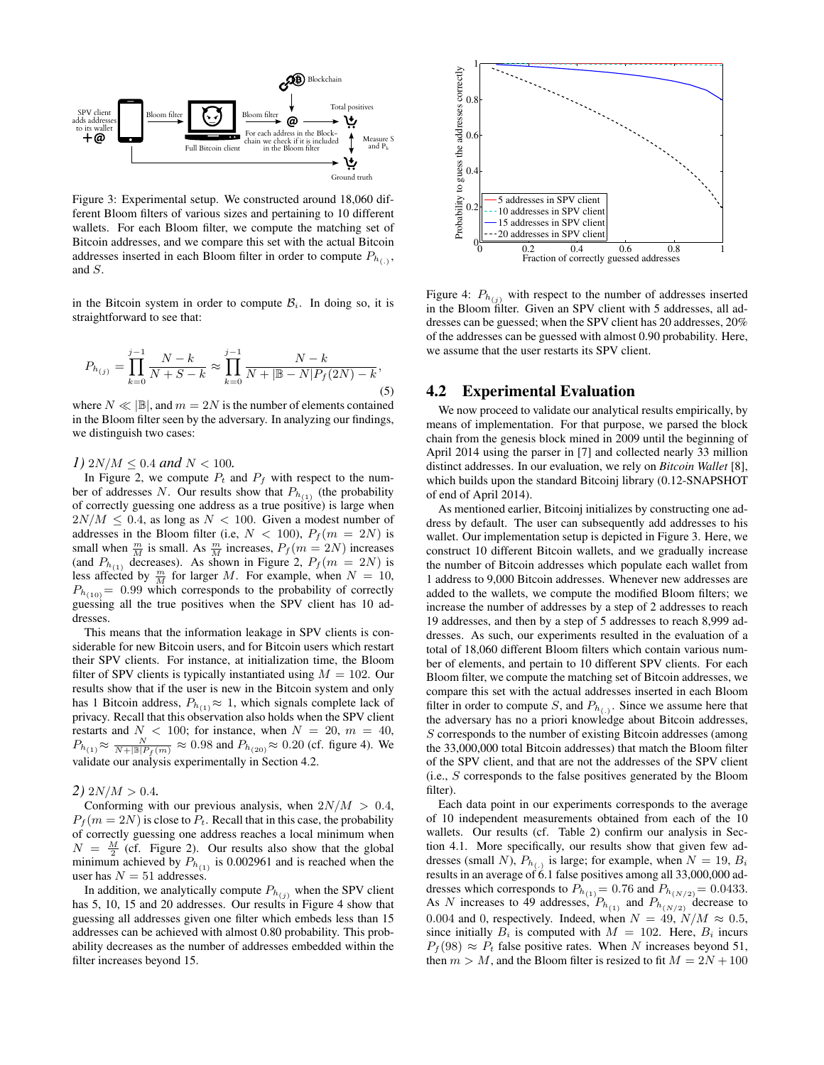

Figure 3: Experimental setup. We constructed around 18,060 different Bloom filters of various sizes and pertaining to 10 different wallets. For each Bloom filter, we compute the matching set of Bitcoin addresses, and we compare this set with the actual Bitcoin addresses inserted in each Bloom filter in order to compute  $P_{h_{(.)}},$ and S.

in the Bitcoin system in order to compute  $B_i$ . In doing so, it is straightforward to see that:

$$
P_{h(j)} = \prod_{k=0}^{j-1} \frac{N-k}{N+S-k} \approx \prod_{k=0}^{j-1} \frac{N-k}{N+|\mathbb{B} - N|P_f(2N) - k},\tag{5}
$$

where  $N \ll |\mathbb{B}|$ , and  $m = 2N$  is the number of elements contained in the Bloom filter seen by the adversary. In analyzing our findings, we distinguish two cases:

#### *1*)  $2N/M \leq 0.4$  *and*  $N < 100$ *.*

In Figure 2, we compute  $P_t$  and  $P_f$  with respect to the number of addresses N. Our results show that  $P_{h(1)}$  (the probability of correctly guessing one address as a true positive) is large when  $2N/M \leq 0.4$ , as long as  $N < 100$ . Given a modest number of addresses in the Bloom filter (i.e,  $N < 100$ ),  $P_f(m = 2N)$  is small when  $\frac{m}{M}$  is small. As  $\frac{m}{M}$  increases,  $P_f(m = 2N)$  increases (and  $P_{h_{(1)}}$  decreases). As shown in Figure 2,  $P_f(m = 2N)$  is less affected by  $\frac{m}{M}$  for larger M. For example, when  $N = 10$ ,  $P_{h(10)} = 0.99$  which corresponds to the probability of correctly guessing all the true positives when the SPV client has 10 addresses.

This means that the information leakage in SPV clients is considerable for new Bitcoin users, and for Bitcoin users which restart their SPV clients. For instance, at initialization time, the Bloom filter of SPV clients is typically instantiated using  $M = 102$ . Our results show that if the user is new in the Bitcoin system and only has 1 Bitcoin address,  $P_{h_{(1)}} \approx 1$ , which signals complete lack of privacy. Recall that this observation also holds when the SPV client restarts and  $N < 100$ ; for instance, when  $N = 20$ ,  $m = 40$ ,  $P_{h_{(1)}} \approx \frac{N}{N+|\mathbb{B}|P_f(m)} \approx 0.98$  and  $P_{h_{(20)}} \approx 0.20$  (cf. figure 4). We validate our analysis experimentally in Section 4.2.

 $2)$  2 $N/M > 0.4$ .

Conforming with our previous analysis, when  $2N/M > 0.4$ ,  $P_f(m = 2N)$  is close to  $P_t$ . Recall that in this case, the probability of correctly guessing one address reaches a local minimum when  $N = \frac{M}{2}$  (cf. Figure 2). Our results also show that the global minimum achieved by  $P_{h_{(1)}}$  is 0.002961 and is reached when the user has  $N = 51$  addresses.

In addition, we analytically compute  $P_{h_{(j)}}$  when the SPV client has 5, 10, 15 and 20 addresses. Our results in Figure 4 show that guessing all addresses given one filter which embeds less than 15 addresses can be achieved with almost 0.80 probability. This probability decreases as the number of addresses embedded within the filter increases beyond 15.



Figure 4:  $P_{h(j)}$  with respect to the number of addresses inserted in the Bloom filter. Given an SPV client with 5 addresses, all addresses can be guessed; when the SPV client has 20 addresses, 20% of the addresses can be guessed with almost 0.90 probability. Here, we assume that the user restarts its SPV client.

#### 4.2 Experimental Evaluation

We now proceed to validate our analytical results empirically, by means of implementation. For that purpose, we parsed the block chain from the genesis block mined in 2009 until the beginning of April 2014 using the parser in [7] and collected nearly 33 million distinct addresses. In our evaluation, we rely on *Bitcoin Wallet* [8], which builds upon the standard Bitcoinj library (0.12-SNAPSHOT of end of April 2014).

As mentioned earlier, Bitcoinj initializes by constructing one address by default. The user can subsequently add addresses to his wallet. Our implementation setup is depicted in Figure 3. Here, we construct 10 different Bitcoin wallets, and we gradually increase the number of Bitcoin addresses which populate each wallet from 1 address to 9,000 Bitcoin addresses. Whenever new addresses are added to the wallets, we compute the modified Bloom filters; we increase the number of addresses by a step of 2 addresses to reach 19 addresses, and then by a step of 5 addresses to reach 8,999 addresses. As such, our experiments resulted in the evaluation of a total of 18,060 different Bloom filters which contain various number of elements, and pertain to 10 different SPV clients. For each Bloom filter, we compute the matching set of Bitcoin addresses, we compare this set with the actual addresses inserted in each Bloom filter in order to compute S, and  $P_{h_{(.)}}$ . Since we assume here that the adversary has no a priori knowledge about Bitcoin addresses, S corresponds to the number of existing Bitcoin addresses (among the 33,000,000 total Bitcoin addresses) that match the Bloom filter of the SPV client, and that are not the addresses of the SPV client (i.e., S corresponds to the false positives generated by the Bloom filter).

Each data point in our experiments corresponds to the average of 10 independent measurements obtained from each of the 10 wallets. Our results (cf. Table 2) confirm our analysis in Section 4.1. More specifically, our results show that given few addresses (small N),  $P_{h_{(.)}}$  is large; for example, when  $N = 19$ ,  $B_i$ results in an average of 6.1 false positives among all 33,000,000 addresses which corresponds to  $P_{h_{(1)}}= 0.76$  and  $P_{h_{(N/2)}}= 0.0433$ . As N increases to 49 addresses,  $P_{h_{(1)}}$  and  $P_{h_{(N/2)}}$  decrease to 0.004 and 0, respectively. Indeed, when  $N = 49$ ,  $N/M \approx 0.5$ , since initially  $B_i$  is computed with  $M = 102$ . Here,  $B_i$  incurs  $P_f(98) \approx P_t$  false positive rates. When N increases beyond 51, then  $m > M$ , and the Bloom filter is resized to fit  $M = 2N + 100$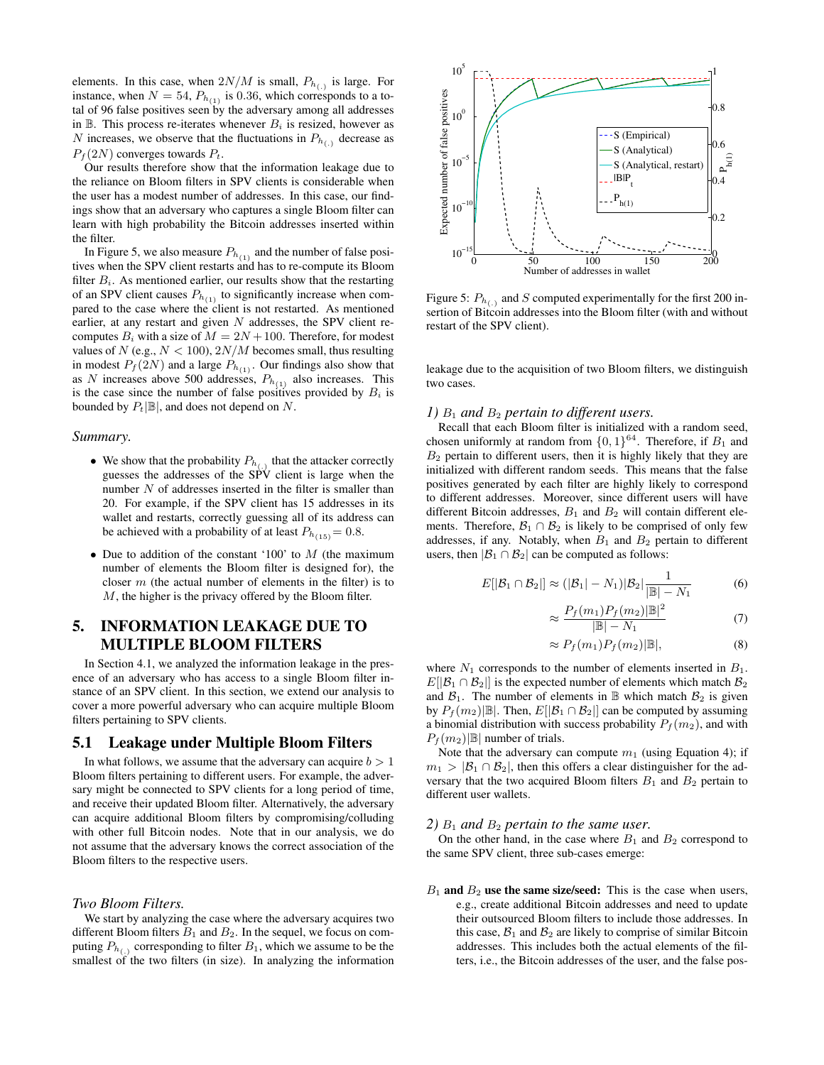elements. In this case, when  $2N/M$  is small,  $P_{h_{(.)}}$  is large. For instance, when  $N = 54$ ,  $P_{h(1)}$  is 0.36, which corresponds to a total of 96 false positives seen by the adversary among all addresses in  $\mathbb B$ . This process re-iterates whenever  $B_i$  is resized, however as N increases, we observe that the fluctuations in  $P_{h_{(.)}}$  decrease as  $P_f(2N)$  converges towards  $P_t$ .

Our results therefore show that the information leakage due to the reliance on Bloom filters in SPV clients is considerable when the user has a modest number of addresses. In this case, our findings show that an adversary who captures a single Bloom filter can learn with high probability the Bitcoin addresses inserted within the filter.

In Figure 5, we also measure  $P_{h_{(1)}}$  and the number of false positives when the SPV client restarts and has to re-compute its Bloom filter  $B_i$ . As mentioned earlier, our results show that the restarting of an SPV client causes  $P_{h(1)}$  to significantly increase when compared to the case where the client is not restarted. As mentioned earlier, at any restart and given  $N$  addresses, the SPV client recomputes  $B_i$  with a size of  $M = 2N + 100$ . Therefore, for modest values of N (e.g.,  $N < 100$ ),  $2N/M$  becomes small, thus resulting in modest  $P_f(2N)$  and a large  $P_{h_{(1)}}$ . Our findings also show that as N increases above 500 addresses,  $P_{h_{(1)}}$  also increases. This is the case since the number of false positives provided by  $B_i$  is bounded by  $P_t|\mathbb{B}|$ , and does not depend on N.

#### *Summary.*

- We show that the probability  $P_{h_{(\cdot)}}$  that the attacker correctly guesses the addresses of the SPV client is large when the number  $N$  of addresses inserted in the filter is smaller than 20. For example, if the SPV client has 15 addresses in its wallet and restarts, correctly guessing all of its address can be achieved with a probability of at least  $P_{h_{(15)}}= 0.8$ .
- Due to addition of the constant '100' to  $M$  (the maximum number of elements the Bloom filter is designed for), the closer  $m$  (the actual number of elements in the filter) is to M, the higher is the privacy offered by the Bloom filter.

# 5. INFORMATION LEAKAGE DUE TO MULTIPLE BLOOM FILTERS

In Section 4.1, we analyzed the information leakage in the presence of an adversary who has access to a single Bloom filter instance of an SPV client. In this section, we extend our analysis to cover a more powerful adversary who can acquire multiple Bloom filters pertaining to SPV clients.

#### 5.1 Leakage under Multiple Bloom Filters

In what follows, we assume that the adversary can acquire  $b > 1$ Bloom filters pertaining to different users. For example, the adversary might be connected to SPV clients for a long period of time, and receive their updated Bloom filter. Alternatively, the adversary can acquire additional Bloom filters by compromising/colluding with other full Bitcoin nodes. Note that in our analysis, we do not assume that the adversary knows the correct association of the Bloom filters to the respective users.

#### *Two Bloom Filters.*

We start by analyzing the case where the adversary acquires two different Bloom filters  $B_1$  and  $B_2$ . In the sequel, we focus on computing  $P_{h_{(\cdot)}}$  corresponding to filter  $B_1$ , which we assume to be the smallest of the two filters (in size). In analyzing the information



Figure 5:  $P_{h_{(\cdot)}}$  and S computed experimentally for the first 200 insertion of Bitcoin addresses into the Bloom filter (with and without restart of the SPV client).

leakage due to the acquisition of two Bloom filters, we distinguish two cases.

#### *1*)  $B_1$  *and*  $B_2$  *pertain to different users.*

≈

Recall that each Bloom filter is initialized with a random seed, chosen uniformly at random from  $\{0,1\}^{64}$ . Therefore, if  $B_1$  and  $B<sub>2</sub>$  pertain to different users, then it is highly likely that they are initialized with different random seeds. This means that the false positives generated by each filter are highly likely to correspond to different addresses. Moreover, since different users will have different Bitcoin addresses,  $B_1$  and  $B_2$  will contain different elements. Therefore,  $\mathcal{B}_1 \cap \mathcal{B}_2$  is likely to be comprised of only few addresses, if any. Notably, when  $B_1$  and  $B_2$  pertain to different users, then  $|\mathcal{B}_1 \cap \mathcal{B}_2|$  can be computed as follows:

$$
E[|\mathcal{B}_1 \cap \mathcal{B}_2|] \approx (|\mathcal{B}_1| - N_1)|\mathcal{B}_2| \frac{1}{|\mathbb{B}| - N_1}
$$
 (6)

$$
\geq \frac{P_f(m_1)P_f(m_2)|\mathbb{B}|^2}{|\mathbb{B}|-N_1} \tag{7}
$$

$$
\approx P_f(m_1)P_f(m_2)|\mathbb{B}|,\tag{8}
$$

where  $N_1$  corresponds to the number of elements inserted in  $B_1$ .  $E[|\mathcal{B}_1 \cap \mathcal{B}_2|]$  is the expected number of elements which match  $\mathcal{B}_2$ and  $B_1$ . The number of elements in B which match  $B_2$  is given by  $P_f(m_2)|\mathbb{B}|$ . Then,  $E[|\mathcal{B}_1 \cap \mathcal{B}_2|]$  can be computed by assuming a binomial distribution with success probability  $P_f(m_2)$ , and with  $P_f(m_2)|\mathbb{B}|$  number of trials.

Note that the adversary can compute  $m_1$  (using Equation 4); if  $m_1 > |\mathcal{B}_1 \cap \mathcal{B}_2|$ , then this offers a clear distinguisher for the adversary that the two acquired Bloom filters  $B_1$  and  $B_2$  pertain to different user wallets.

#### *2)* B<sup>1</sup> *and* B<sup>2</sup> *pertain to the same user.*

On the other hand, in the case where  $B_1$  and  $B_2$  correspond to the same SPV client, three sub-cases emerge:

 $B_1$  and  $B_2$  use the same size/seed: This is the case when users, e.g., create additional Bitcoin addresses and need to update their outsourced Bloom filters to include those addresses. In this case,  $B_1$  and  $B_2$  are likely to comprise of similar Bitcoin addresses. This includes both the actual elements of the filters, i.e., the Bitcoin addresses of the user, and the false pos-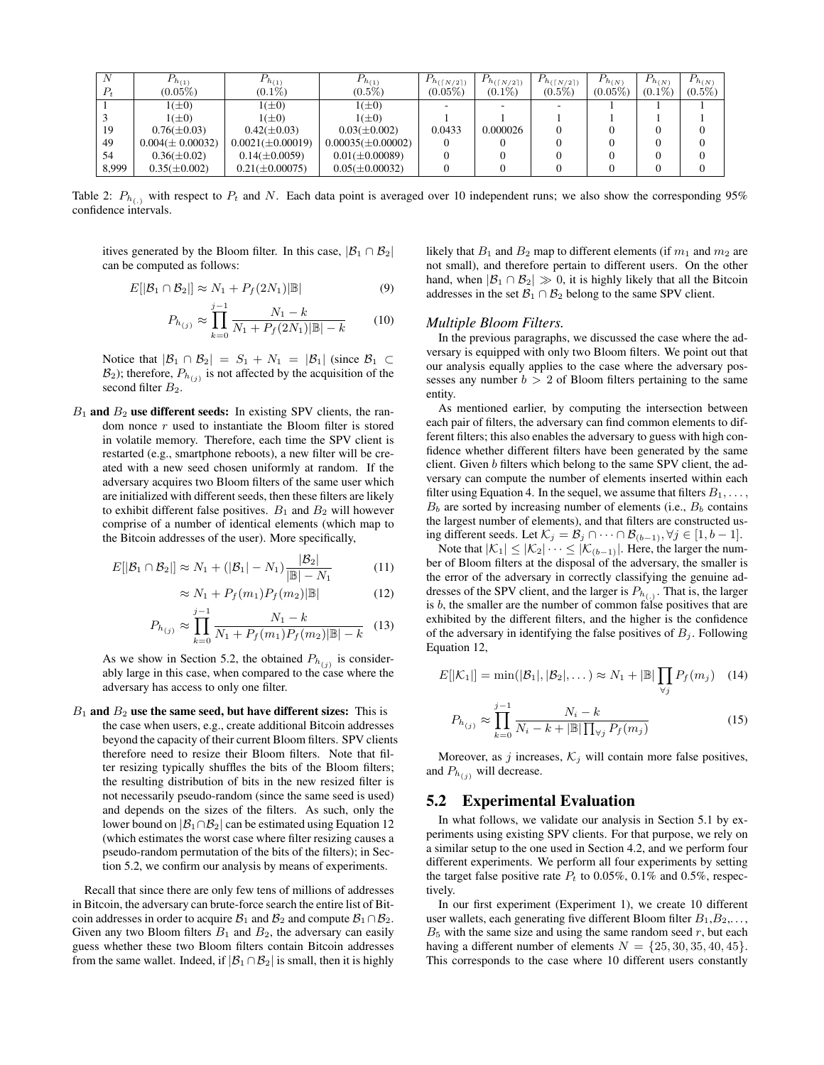|       | $h_{(1)}$            | $h_{(1)}$             | $h_{(1)}$              | $+ P_{h_{(\lceil N/2 \rceil)}}$ | $+$ 1 $P_{h_{(\lceil N/2 \rceil)}}$ + | $h( \lceil N/2 \rceil)$ | $P_{h(N)}$ | $P_{h_{(N)}}$ | $F_{h(N)}$ |
|-------|----------------------|-----------------------|------------------------|---------------------------------|---------------------------------------|-------------------------|------------|---------------|------------|
|       | $(0.05\%)$           | $(0.1\%)$             | $(0.5\%)$              | $(0.05\%)$                      | $(0.1\%)$                             | $(0.5\%)$               | $(0.05\%)$ | $(0.1\%)$     | $(0.5\%)$  |
|       | $1(\pm 0)$           | $1(\pm 0)$            | $1(\pm 0)$             |                                 |                                       |                         |            |               |            |
|       | $1(\pm 0)$           | $1(\pm 0)$            | $1(\pm 0)$             |                                 |                                       |                         |            |               |            |
| 19    | $0.76(\pm 0.03)$     | $0.42(\pm 0.03)$      | $0.03(\pm 0.002)$      | 0.0433                          | 0.000026                              |                         |            |               |            |
| 49    | $0.004(\pm 0.00032)$ | $0.0021(\pm 0.00019)$ | $0.00035(\pm 0.00002)$ |                                 |                                       |                         |            |               |            |
| 54    | $0.36(\pm 0.02)$     | $0.14(\pm 0.0059)$    | $0.01(\pm 0.00089)$    |                                 |                                       |                         |            |               |            |
| 8.999 | $0.35(\pm 0.002)$    | $0.21(\pm 0.00075)$   | $0.05(\pm 0.00032)$    |                                 |                                       |                         |            |               |            |

Table 2:  $P_{h_{(1)}}$  with respect to  $P_t$  and N. Each data point is averaged over 10 independent runs; we also show the corresponding 95% confidence intervals.

itives generated by the Bloom filter. In this case,  $|\mathcal{B}_1 \cap \mathcal{B}_2|$ can be computed as follows:

$$
E[|\mathcal{B}_1 \cap \mathcal{B}_2|] \approx N_1 + P_f(2N_1)|\mathbb{B}| \tag{9}
$$

$$
P_{h_{(j)}} \approx \prod_{k=0}^{j-1} \frac{N_1 - k}{N_1 + P_f(2N_1)|\mathbb{B}| - k} \qquad (10)
$$

Notice that  $|\mathcal{B}_1 \cap \mathcal{B}_2| = S_1 + N_1 = |\mathcal{B}_1|$  (since  $\mathcal{B}_1 \subset$  $B_2$ ); therefore,  $P_{h_{(j)}}$  is not affected by the acquisition of the second filter  $B_2$ .

 $B_1$  and  $B_2$  use different seeds: In existing SPV clients, the random nonce r used to instantiate the Bloom filter is stored in volatile memory. Therefore, each time the SPV client is restarted (e.g., smartphone reboots), a new filter will be created with a new seed chosen uniformly at random. If the adversary acquires two Bloom filters of the same user which are initialized with different seeds, then these filters are likely to exhibit different false positives.  $B_1$  and  $B_2$  will however comprise of a number of identical elements (which map to the Bitcoin addresses of the user). More specifically,

$$
E[|\mathcal{B}_1 \cap \mathcal{B}_2|] \approx N_1 + (|\mathcal{B}_1| - N_1) \frac{|\mathcal{B}_2|}{|\mathbb{B}| - N_1}
$$
 (11)

$$
\approx N_1 + P_f(m_1)P_f(m_2)|\mathbb{B}| \tag{12}
$$

$$
P_{h_{(j)}} \approx \prod_{k=0}^{j-1} \frac{N_1 - k}{N_1 + P_f(m_1)P_f(m_2)|\mathbb{B}| - k} \tag{13}
$$

As we show in Section 5.2, the obtained  $P_{h(j)}$  is considerably large in this case, when compared to the case where the adversary has access to only one filter.

 $B_1$  and  $B_2$  use the same seed, but have different sizes: This is the case when users, e.g., create additional Bitcoin addresses beyond the capacity of their current Bloom filters. SPV clients therefore need to resize their Bloom filters. Note that filter resizing typically shuffles the bits of the Bloom filters; the resulting distribution of bits in the new resized filter is not necessarily pseudo-random (since the same seed is used) and depends on the sizes of the filters. As such, only the lower bound on  $|\mathcal{B}_1 \cap \mathcal{B}_2|$  can be estimated using Equation 12 (which estimates the worst case where filter resizing causes a pseudo-random permutation of the bits of the filters); in Section 5.2, we confirm our analysis by means of experiments.

Recall that since there are only few tens of millions of addresses in Bitcoin, the adversary can brute-force search the entire list of Bitcoin addresses in order to acquire  $\mathcal{B}_1$  and  $\mathcal{B}_2$  and compute  $\mathcal{B}_1 \cap \mathcal{B}_2$ . Given any two Bloom filters  $B_1$  and  $B_2$ , the adversary can easily guess whether these two Bloom filters contain Bitcoin addresses from the same wallet. Indeed, if  $|\mathcal{B}_1 \cap \mathcal{B}_2|$  is small, then it is highly likely that  $B_1$  and  $B_2$  map to different elements (if  $m_1$  and  $m_2$  are not small), and therefore pertain to different users. On the other hand, when  $|\mathcal{B}_1 \cap \mathcal{B}_2| \gg 0$ , it is highly likely that all the Bitcoin addresses in the set  $\mathcal{B}_1 \cap \mathcal{B}_2$  belong to the same SPV client.

#### *Multiple Bloom Filters.*

In the previous paragraphs, we discussed the case where the adversary is equipped with only two Bloom filters. We point out that our analysis equally applies to the case where the adversary possesses any number  $b > 2$  of Bloom filters pertaining to the same entity.

As mentioned earlier, by computing the intersection between each pair of filters, the adversary can find common elements to different filters; this also enables the adversary to guess with high confidence whether different filters have been generated by the same client. Given b filters which belong to the same SPV client, the adversary can compute the number of elements inserted within each filter using Equation 4. In the sequel, we assume that filters  $B_1, \ldots$ ,  $B_b$  are sorted by increasing number of elements (i.e.,  $B_b$  contains the largest number of elements), and that filters are constructed using different seeds. Let  $\mathcal{K}_j = \mathcal{B}_j \cap \cdots \cap \mathcal{B}_{(b-1)}, \forall j \in [1, b-1].$ 

Note that  $|\mathcal{K}_1| \leq |\mathcal{K}_2| \cdots \leq |\mathcal{K}_{(b-1)}|$ . Here, the larger the number of Bloom filters at the disposal of the adversary, the smaller is the error of the adversary in correctly classifying the genuine addresses of the SPV client, and the larger is  $P_{h(.)}$ . That is, the larger is b, the smaller are the number of common false positives that are exhibited by the different filters, and the higher is the confidence of the adversary in identifying the false positives of  $B_j$ . Following Equation 12,

$$
E[|K_1|] = \min(|\mathcal{B}_1|, |\mathcal{B}_2|, \dots) \approx N_1 + |\mathbb{B}| \prod_{\forall j} P_f(m_j) \quad (14)
$$

$$
P_{h_{(j)}} \approx \prod_{k=0}^{j-1} \frac{N_i - k}{N_i - k + |\mathbb{B}| \prod_{\forall j} P_f(m_j)} \tag{15}
$$

Moreover, as j increases,  $\mathcal{K}_j$  will contain more false positives, and  $P_{h_{(j)}}$  will decrease.

#### 5.2 Experimental Evaluation

In what follows, we validate our analysis in Section 5.1 by experiments using existing SPV clients. For that purpose, we rely on a similar setup to the one used in Section 4.2, and we perform four different experiments. We perform all four experiments by setting the target false positive rate  $P_t$  to 0.05%, 0.1% and 0.5%, respectively.

In our first experiment (Experiment 1), we create 10 different user wallets, each generating five different Bloom filter  $B_1, B_2, \ldots$ ,  $B_5$  with the same size and using the same random seed  $r$ , but each having a different number of elements  $N = \{25, 30, 35, 40, 45\}.$ This corresponds to the case where 10 different users constantly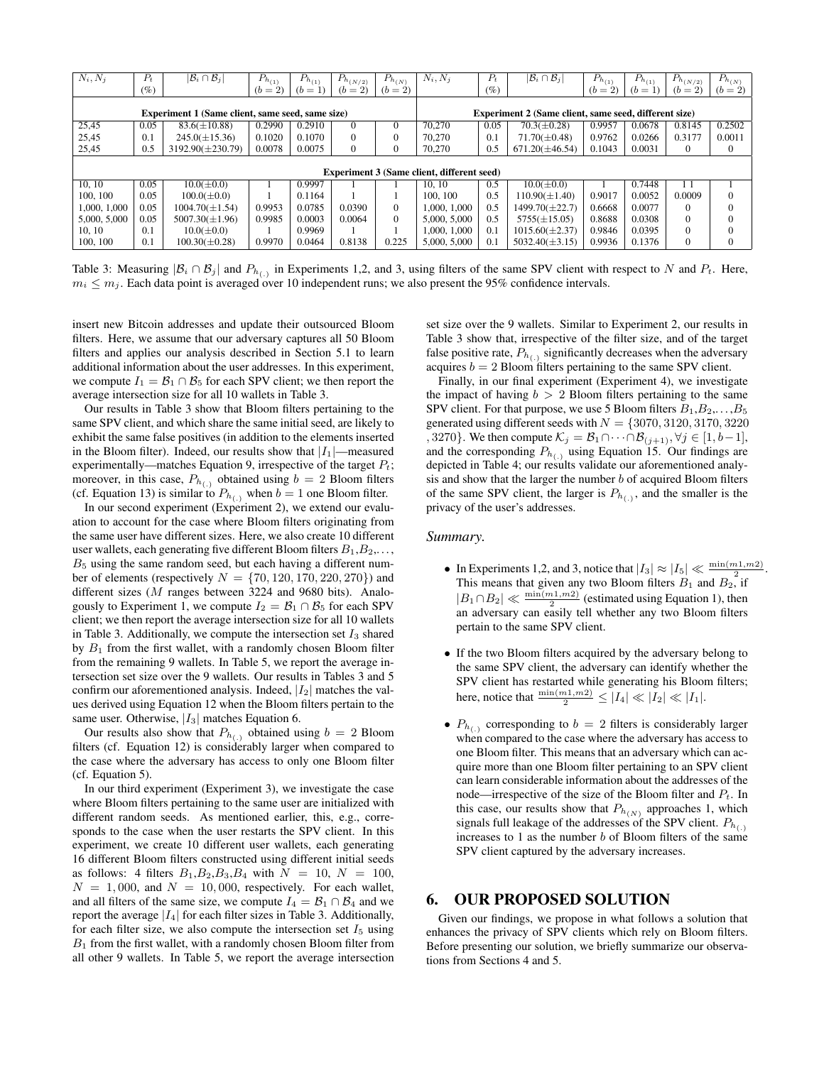| $N_i, N_i$                                       | $P_{t}$<br>(%) | $ \mathcal{B}_i \cap \mathcal{B}_j $ | $P_{h_{(1)}}$<br>$(b = 2)$                 | $P_{h_{(1)}}$<br>$(b = 1)$ | $+ P_{h(N/2)}$ .<br>$(b = 2)$ | $P_{h_{(N)}}$<br>$(b = 2)$ | $N_i, N_i$   | $P_t$<br>(% | $ \mathcal{B}_i \cap \mathcal{B}_j $                  | $\cdot$ $\overline{P}_{h_{(1)}}$<br>$(b =$<br>$\mathbf{2}$ | $\ddot{P}_{h_{(1)}}$<br>$(b=1)$ | $+P_{h(N/2)}$<br>$(b = 2)$ | $P_{h(N)}$<br>$(b = 2)$ |
|--------------------------------------------------|----------------|--------------------------------------|--------------------------------------------|----------------------------|-------------------------------|----------------------------|--------------|-------------|-------------------------------------------------------|------------------------------------------------------------|---------------------------------|----------------------------|-------------------------|
| Experiment 1 (Same client, same seed, same size) |                |                                      |                                            |                            |                               |                            |              |             | Experiment 2 (Same client, same seed, different size) |                                                            |                                 |                            |                         |
| 25,45                                            | 0.05           | $83.6(\pm 10.88)$                    | 0.2990                                     | 0.2910                     | 0                             | $\Omega$                   | 70.270       | 0.05        | $70.3(\pm 0.28)$                                      | 0.9957                                                     | 0.0678                          | 0.8145                     | 0.2502                  |
| 25,45                                            | 0.1            | $245.0(\pm 15.36)$                   | 0.1020                                     | 0.1070                     | 0                             | $\Omega$                   | 70,270       | 0.1         | $71.70(\pm 0.48)$                                     | 0.9762                                                     | 0.0266                          | 0.3177                     | 0.0011                  |
| 25,45                                            | 0.5            | $3192.90(\pm 230.79)$                | 0.0078                                     | 0.0075                     | $\Omega$                      | $\mathbf{0}$               | 70,270       | 0.5         | $671.20(\pm 46.54)$                                   | 0.1043                                                     | 0.0031                          | $\theta$                   | $\mathbf{0}$            |
|                                                  |                |                                      | Experiment 3 (Same client, different seed) |                            |                               |                            |              |             |                                                       |                                                            |                                 |                            |                         |
| 10.10                                            | 0.05           | $10.0(\pm 0.0)$                      |                                            | 0.9997                     |                               |                            | 10.10        | 0.5         | $10.0(\pm 0.0)$                                       |                                                            | 0.7448                          |                            |                         |
| 100, 100                                         | 0.05           | $100.0(\pm 0.0)$                     |                                            | 0.1164                     |                               |                            | 100, 100     | 0.5         | $110.90(\pm1.40)$                                     | 0.9017                                                     | 0.0052                          | 0.0009                     | $\Omega$                |
| 1,000, 1,000                                     | 0.05           | $1004.70(\pm 1.54)$                  | 0.9953                                     | 0.0785                     | 0.0390                        | $\Omega$                   | 1,000, 1,000 | 0.5         | $1499.70(\pm 22.7)$                                   | 0.6668                                                     | 0.0077                          | 0                          | $\Omega$                |
| 5,000, 5,000                                     | 0.05           | $5007.30(\pm 1.96)$                  | 0.9985                                     | 0.0003                     | 0.0064                        | $\Omega$                   | 5,000, 5,000 | 0.5         | $5755(\pm 15.05)$                                     | 0.8688                                                     | 0.0308                          |                            | $\Omega$                |
| 10, 10                                           | 0.1            | $10.0(\pm 0.0)$                      |                                            | 0.9969                     |                               |                            | 1,000, 1,000 | 0.1         | $1015.60(\pm 2.37)$                                   | 0.9846                                                     | 0.0395                          | $\Omega$                   | $\Omega$                |
| 100, 100                                         | 0.1            | $100.30(\pm 0.28)$                   | 0.9970                                     | 0.0464                     | 0.8138                        | 0.225                      | 5,000, 5,000 | 0.1         | $5032.40(\pm 3.15)$                                   | 0.9936                                                     | 0.1376                          | $\Omega$                   | $\Omega$                |

Table 3: Measuring  $|\mathcal{B}_i \cap \mathcal{B}_j|$  and  $P_{h_{(.)}}$  in Experiments 1,2, and 3, using filters of the same SPV client with respect to N and  $P_t$ . Here,  $m_i \leq m_i$ . Each data point is averaged over 10 independent runs; we also present the 95% confidence intervals.

insert new Bitcoin addresses and update their outsourced Bloom filters. Here, we assume that our adversary captures all 50 Bloom filters and applies our analysis described in Section 5.1 to learn additional information about the user addresses. In this experiment, we compute  $I_1 = \mathcal{B}_1 \cap \mathcal{B}_5$  for each SPV client; we then report the average intersection size for all 10 wallets in Table 3.

Our results in Table 3 show that Bloom filters pertaining to the same SPV client, and which share the same initial seed, are likely to exhibit the same false positives (in addition to the elements inserted in the Bloom filter). Indeed, our results show that  $|I_1|$ —measured experimentally—matches Equation 9, irrespective of the target  $P_t$ ; moreover, in this case,  $P_{h_{(.)}}$  obtained using  $b = 2$  Bloom filters (cf. Equation 13) is similar to  $P_{h_{(.)}}$  when  $b = 1$  one Bloom filter.

In our second experiment (Experiment 2), we extend our evaluation to account for the case where Bloom filters originating from the same user have different sizes. Here, we also create 10 different user wallets, each generating five different Bloom filters  $B_1, B_2, \ldots$ ,  $B_5$  using the same random seed, but each having a different number of elements (respectively  $N = \{70, 120, 170, 220, 270\}$ ) and different sizes (M ranges between 3224 and 9680 bits). Analogously to Experiment 1, we compute  $I_2 = \mathcal{B}_1 \cap \mathcal{B}_5$  for each SPV client; we then report the average intersection size for all 10 wallets in Table 3. Additionally, we compute the intersection set  $I_3$  shared by  $B_1$  from the first wallet, with a randomly chosen Bloom filter from the remaining 9 wallets. In Table 5, we report the average intersection set size over the 9 wallets. Our results in Tables 3 and 5 confirm our aforementioned analysis. Indeed,  $|I_2|$  matches the values derived using Equation 12 when the Bloom filters pertain to the same user. Otherwise,  $|I_3|$  matches Equation 6.

Our results also show that  $P_{h_{(\cdot)}}$  obtained using  $b = 2$  Bloom filters (cf. Equation 12) is considerably larger when compared to the case where the adversary has access to only one Bloom filter (cf. Equation 5).

In our third experiment (Experiment 3), we investigate the case where Bloom filters pertaining to the same user are initialized with different random seeds. As mentioned earlier, this, e.g., corresponds to the case when the user restarts the SPV client. In this experiment, we create 10 different user wallets, each generating 16 different Bloom filters constructed using different initial seeds as follows: 4 filters  $B_1, B_2, B_3, B_4$  with  $N = 10$ ,  $N = 100$ ,  $N = 1,000$ , and  $N = 10,000$ , respectively. For each wallet, and all filters of the same size, we compute  $I_4 = \mathcal{B}_1 \cap \mathcal{B}_4$  and we report the average  $|I_4|$  for each filter sizes in Table 3. Additionally, for each filter size, we also compute the intersection set  $I_5$  using  $B_1$  from the first wallet, with a randomly chosen Bloom filter from all other 9 wallets. In Table 5, we report the average intersection

set size over the 9 wallets. Similar to Experiment 2, our results in Table 3 show that, irrespective of the filter size, and of the target false positive rate,  $P_{h_{(.)}}$  significantly decreases when the adversary acquires  $b = 2$  Bloom filters pertaining to the same SPV client.

Finally, in our final experiment (Experiment 4), we investigate the impact of having  $b > 2$  Bloom filters pertaining to the same SPV client. For that purpose, we use 5 Bloom filters  $B_1, B_2, \ldots, B_5$ generated using different seeds with  $N = \{3070, 3120, 3170, 3220\}$ , 3270}. We then compute  $\mathcal{K}_j = \mathcal{B}_1 \cap \cdots \cap \mathcal{B}_{(j+1)}, \forall j \in [1, b-1],$ and the corresponding  $P_{h_{(\cdot)}}$  using Equation 15. Our findings are depicted in Table 4; our results validate our aforementioned analysis and show that the larger the number  $b$  of acquired Bloom filters of the same SPV client, the larger is  $P_{h(.)}$ , and the smaller is the privacy of the user's addresses.

## *Summary.*

- In Experiments 1,2, and 3, notice that  $|I_3| \approx |I_5| \ll \frac{\min(m1, m2)}{2}$ . This means that given any two Bloom filters  $B_1$  and  $B_2$ , if  $|B_1 \cap B_2| \ll \frac{\min(m1,m2)}{2}$  (estimated using Equation 1), then an adversary can easily tell whether any two Bloom filters pertain to the same SPV client.
- If the two Bloom filters acquired by the adversary belong to the same SPV client, the adversary can identify whether the SPV client has restarted while generating his Bloom filters; here, notice that  $\frac{\min(m1,m2)}{2} \leq |I_4| \ll |I_2| \ll |I_1|$ .
- $P_{h_{(\cdot)}}$  corresponding to  $b = 2$  filters is considerably larger when compared to the case where the adversary has access to one Bloom filter. This means that an adversary which can acquire more than one Bloom filter pertaining to an SPV client can learn considerable information about the addresses of the node—irrespective of the size of the Bloom filter and  $P_t$ . In this case, our results show that  $P_{h(N)}$  approaches 1, which signals full leakage of the addresses of the SPV client.  $P_{h_{(.)}}$ increases to 1 as the number  $b$  of Bloom filters of the same SPV client captured by the adversary increases.

# 6. OUR PROPOSED SOLUTION

Given our findings, we propose in what follows a solution that enhances the privacy of SPV clients which rely on Bloom filters. Before presenting our solution, we briefly summarize our observations from Sections 4 and 5.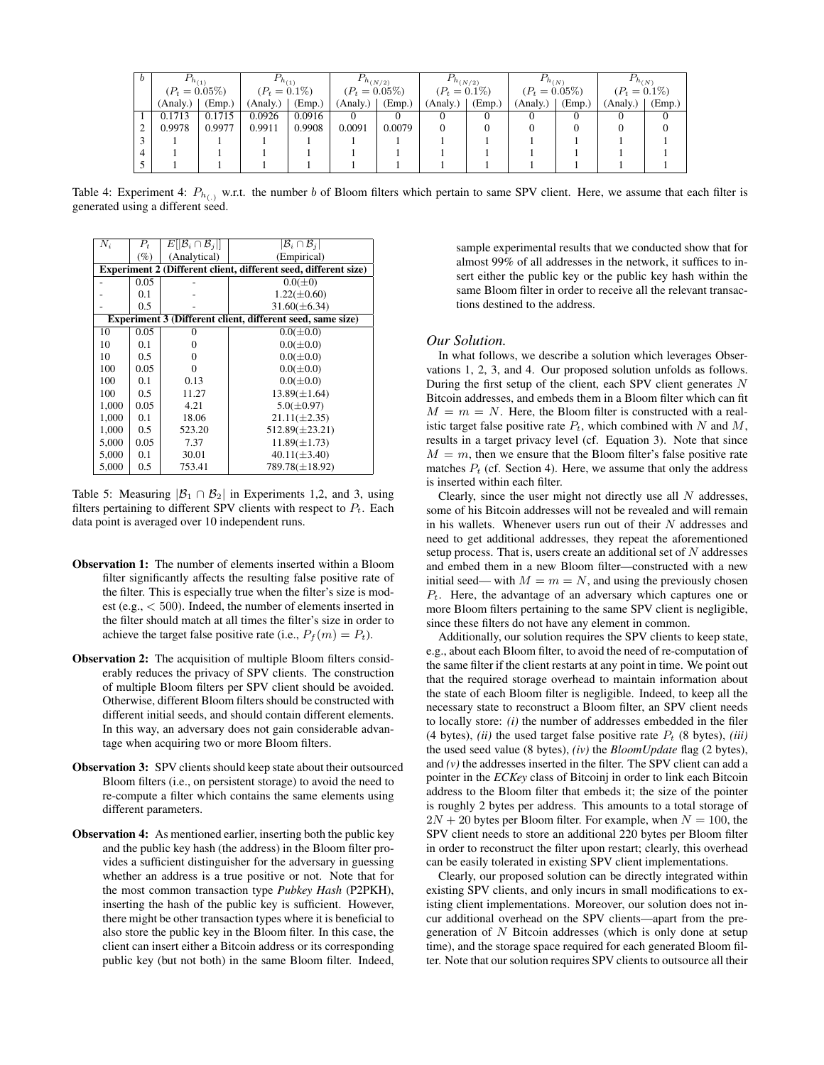| $P_{h_{(1)}}$<br>$(P_t = 0.05\%)$ |        | $P_{h_{(1)}}$<br>$(P_t = 0.1\%)$ |        |          | $P_{h(N/2)}$<br>$(P_t = 0.05\%)$ |          | $P_{h(N/2)}$<br>$(P_t = 0.1\%)$ |          | $P_{h(N)}$<br>$(P_t = 0.05\%)$ |          | $P_{h(N)}$<br>$(P_t = 0.1\%)$ |
|-----------------------------------|--------|----------------------------------|--------|----------|----------------------------------|----------|---------------------------------|----------|--------------------------------|----------|-------------------------------|
| (Analy.)                          | (Emp.) | (Analy.)                         | (Emp.) | (Analy.) | (Emp.)                           | (Analy.) | (Emp.)                          | (Analy.) | (Emp.)                         | (Analy.) | (Emp.)                        |
| 0.1713                            | 0.1715 | 0.0926                           | 0.0916 | $\theta$ |                                  |          | $\theta$                        |          |                                | 0        | $^{(1)}$                      |
| 0.9978                            | 0.9977 | 0.9911                           | 0.9908 | 0.0091   | 0.0079                           |          |                                 |          |                                |          |                               |
|                                   |        |                                  |        |          |                                  |          |                                 |          |                                |          |                               |
|                                   |        |                                  |        |          |                                  |          |                                 |          |                                |          |                               |
|                                   |        |                                  |        |          |                                  |          |                                 |          |                                |          |                               |

Table 4: Experiment 4:  $P_{h_{(.)}}$  w.r.t. the number b of Bloom filters which pertain to same SPV client. Here, we assume that each filter is generated using a different seed.

| $\overline{N_i}$                                           | $P_{t}$                                                         | $E[ \mathcal{B}_i \cap \mathcal{B}_i ]$ | $ \mathcal{B}_i \cap \mathcal{B}_i $ |  |  |  |  |  |  |  |  |  |
|------------------------------------------------------------|-----------------------------------------------------------------|-----------------------------------------|--------------------------------------|--|--|--|--|--|--|--|--|--|
|                                                            | (%)                                                             | (Analytical)                            | (Empirical)                          |  |  |  |  |  |  |  |  |  |
|                                                            | Experiment 2 (Different client, different seed, different size) |                                         |                                      |  |  |  |  |  |  |  |  |  |
|                                                            | 0.05                                                            |                                         | $0.0(\pm 0)$                         |  |  |  |  |  |  |  |  |  |
|                                                            | 0.1                                                             |                                         | $1.22(\pm 0.60)$                     |  |  |  |  |  |  |  |  |  |
|                                                            | 0.5                                                             |                                         | $31.60(\pm 6.34)$                    |  |  |  |  |  |  |  |  |  |
| Experiment 3 (Different client, different seed, same size) |                                                                 |                                         |                                      |  |  |  |  |  |  |  |  |  |
| 10                                                         | 0.05                                                            | 0                                       | $0.0(\pm 0.0)$                       |  |  |  |  |  |  |  |  |  |
| 10                                                         | 0.1                                                             | 0                                       | $0.0(\pm 0.0)$                       |  |  |  |  |  |  |  |  |  |
| 10                                                         | 0.5                                                             | 0                                       | $0.0(\pm 0.0)$                       |  |  |  |  |  |  |  |  |  |
| 100                                                        | 0.05                                                            | $\Omega$                                | $0.0(\pm 0.0)$                       |  |  |  |  |  |  |  |  |  |
| 100                                                        | 0.1                                                             | 0.13                                    | $0.0(\pm 0.0)$                       |  |  |  |  |  |  |  |  |  |
| 100                                                        | 0.5                                                             | 11.27                                   | $13.89(\pm 1.64)$                    |  |  |  |  |  |  |  |  |  |
| 1,000                                                      | 0.05                                                            | 4.21                                    | $5.0(\pm 0.97)$                      |  |  |  |  |  |  |  |  |  |
| 1,000                                                      | 0.1                                                             | 18.06                                   | $21.11(\pm 2.35)$                    |  |  |  |  |  |  |  |  |  |
| 1,000                                                      | 0.5                                                             | 523.20                                  | $512.89(\pm 23.21)$                  |  |  |  |  |  |  |  |  |  |
| 5,000                                                      | 0.05                                                            | 7.37                                    | $11.89(\pm 1.73)$                    |  |  |  |  |  |  |  |  |  |
| 5,000                                                      | 0.1                                                             | 30.01                                   | $40.11(\pm 3.40)$                    |  |  |  |  |  |  |  |  |  |
| 5,000                                                      | 0.5                                                             | 753.41                                  | $789.78(\pm 18.92)$                  |  |  |  |  |  |  |  |  |  |

Table 5: Measuring  $|\mathcal{B}_1 \cap \mathcal{B}_2|$  in Experiments 1,2, and 3, using filters pertaining to different SPV clients with respect to  $P_t$ . Each data point is averaged over 10 independent runs.

- Observation 1: The number of elements inserted within a Bloom filter significantly affects the resulting false positive rate of the filter. This is especially true when the filter's size is modest (e.g., < 500). Indeed, the number of elements inserted in the filter should match at all times the filter's size in order to achieve the target false positive rate (i.e.,  $P_f(m) = P_t$ ).
- Observation 2: The acquisition of multiple Bloom filters considerably reduces the privacy of SPV clients. The construction of multiple Bloom filters per SPV client should be avoided. Otherwise, different Bloom filters should be constructed with different initial seeds, and should contain different elements. In this way, an adversary does not gain considerable advantage when acquiring two or more Bloom filters.
- Observation 3: SPV clients should keep state about their outsourced Bloom filters (i.e., on persistent storage) to avoid the need to re-compute a filter which contains the same elements using different parameters.
- Observation 4: As mentioned earlier, inserting both the public key and the public key hash (the address) in the Bloom filter provides a sufficient distinguisher for the adversary in guessing whether an address is a true positive or not. Note that for the most common transaction type *Pubkey Hash* (P2PKH), inserting the hash of the public key is sufficient. However, there might be other transaction types where it is beneficial to also store the public key in the Bloom filter. In this case, the client can insert either a Bitcoin address or its corresponding public key (but not both) in the same Bloom filter. Indeed,

sample experimental results that we conducted show that for almost 99% of all addresses in the network, it suffices to insert either the public key or the public key hash within the same Bloom filter in order to receive all the relevant transactions destined to the address.

#### *Our Solution.*

In what follows, we describe a solution which leverages Observations 1, 2, 3, and 4. Our proposed solution unfolds as follows. During the first setup of the client, each SPV client generates N Bitcoin addresses, and embeds them in a Bloom filter which can fit  $M = m = N$ . Here, the Bloom filter is constructed with a realistic target false positive rate  $P_t$ , which combined with N and M, results in a target privacy level (cf. Equation 3). Note that since  $M = m$ , then we ensure that the Bloom filter's false positive rate matches  $P_t$  (cf. Section 4). Here, we assume that only the address is inserted within each filter.

Clearly, since the user might not directly use all  $N$  addresses, some of his Bitcoin addresses will not be revealed and will remain in his wallets. Whenever users run out of their  $N$  addresses and need to get additional addresses, they repeat the aforementioned setup process. That is, users create an additional set of  $N$  addresses and embed them in a new Bloom filter—constructed with a new initial seed— with  $M = m = N$ , and using the previously chosen  $P_t$ . Here, the advantage of an adversary which captures one or more Bloom filters pertaining to the same SPV client is negligible, since these filters do not have any element in common.

Additionally, our solution requires the SPV clients to keep state, e.g., about each Bloom filter, to avoid the need of re-computation of the same filter if the client restarts at any point in time. We point out that the required storage overhead to maintain information about the state of each Bloom filter is negligible. Indeed, to keep all the necessary state to reconstruct a Bloom filter, an SPV client needs to locally store: *(i)* the number of addresses embedded in the filer (4 bytes), *(ii)* the used target false positive rate  $P_t$  (8 bytes), *(iii)* the used seed value (8 bytes), *(iv)* the *BloomUpdate* flag (2 bytes), and  $(v)$  the addresses inserted in the filter. The SPV client can add a pointer in the *ECKey* class of Bitcoinj in order to link each Bitcoin address to the Bloom filter that embeds it; the size of the pointer is roughly 2 bytes per address. This amounts to a total storage of  $2N + 20$  bytes per Bloom filter. For example, when  $N = 100$ , the SPV client needs to store an additional 220 bytes per Bloom filter in order to reconstruct the filter upon restart; clearly, this overhead can be easily tolerated in existing SPV client implementations.

Clearly, our proposed solution can be directly integrated within existing SPV clients, and only incurs in small modifications to existing client implementations. Moreover, our solution does not incur additional overhead on the SPV clients—apart from the pregeneration of  $N$  Bitcoin addresses (which is only done at setup time), and the storage space required for each generated Bloom filter. Note that our solution requires SPV clients to outsource all their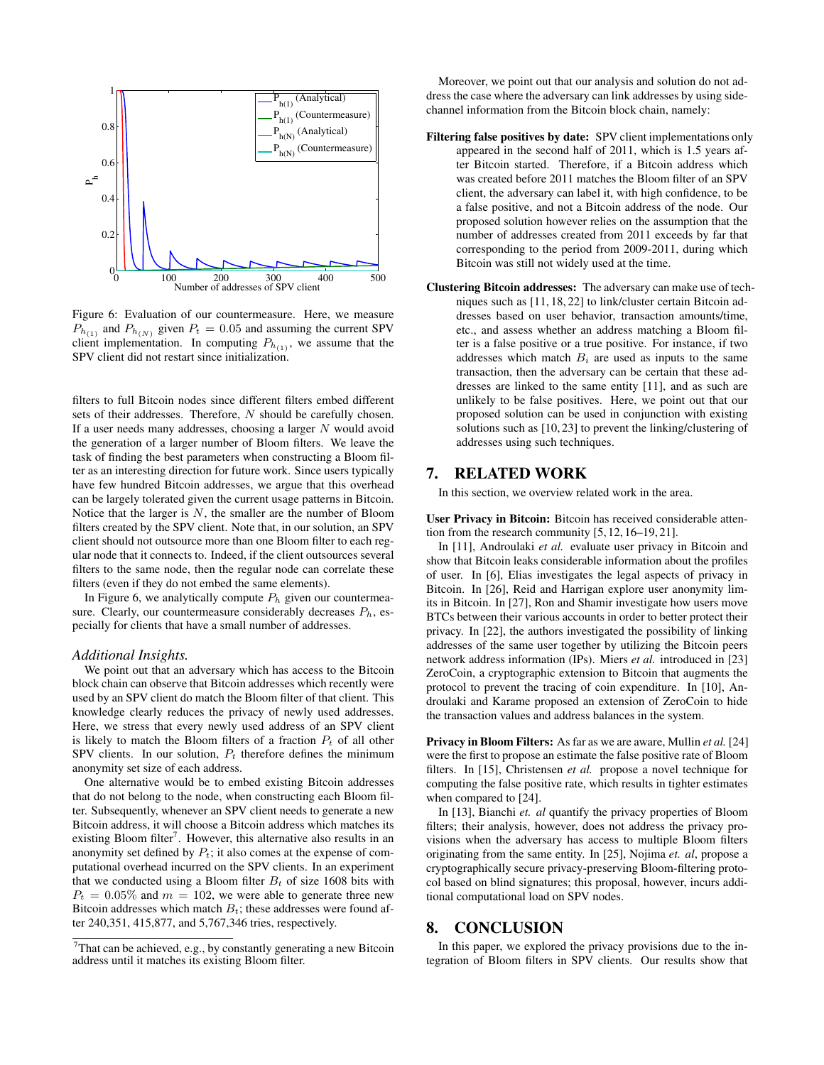

Figure 6: Evaluation of our countermeasure. Here, we measure  $P_{h_{(1)}}$  and  $P_{h_{(N)}}$  given  $P_t = 0.05$  and assuming the current SPV client implementation. In computing  $P_{h_{(1)}}$ , we assume that the SPV client did not restart since initialization.

filters to full Bitcoin nodes since different filters embed different sets of their addresses. Therefore, N should be carefully chosen. If a user needs many addresses, choosing a larger  $N$  would avoid the generation of a larger number of Bloom filters. We leave the task of finding the best parameters when constructing a Bloom filter as an interesting direction for future work. Since users typically have few hundred Bitcoin addresses, we argue that this overhead can be largely tolerated given the current usage patterns in Bitcoin. Notice that the larger is  $N$ , the smaller are the number of Bloom filters created by the SPV client. Note that, in our solution, an SPV client should not outsource more than one Bloom filter to each regular node that it connects to. Indeed, if the client outsources several filters to the same node, then the regular node can correlate these filters (even if they do not embed the same elements).

In Figure 6, we analytically compute  $P_h$  given our countermeasure. Clearly, our countermeasure considerably decreases  $P_h$ , especially for clients that have a small number of addresses.

#### *Additional Insights.*

We point out that an adversary which has access to the Bitcoin block chain can observe that Bitcoin addresses which recently were used by an SPV client do match the Bloom filter of that client. This knowledge clearly reduces the privacy of newly used addresses. Here, we stress that every newly used address of an SPV client is likely to match the Bloom filters of a fraction  $P_t$  of all other SPV clients. In our solution,  $P_t$  therefore defines the minimum anonymity set size of each address.

One alternative would be to embed existing Bitcoin addresses that do not belong to the node, when constructing each Bloom filter. Subsequently, whenever an SPV client needs to generate a new Bitcoin address, it will choose a Bitcoin address which matches its existing Bloom filter<sup>7</sup>. However, this alternative also results in an anonymity set defined by  $P_t$ ; it also comes at the expense of computational overhead incurred on the SPV clients. In an experiment that we conducted using a Bloom filter  $B_t$  of size 1608 bits with  $P_t = 0.05\%$  and  $m = 102$ , we were able to generate three new Bitcoin addresses which match  $B_t$ ; these addresses were found after 240,351, 415,877, and 5,767,346 tries, respectively.

Moreover, we point out that our analysis and solution do not address the case where the adversary can link addresses by using sidechannel information from the Bitcoin block chain, namely:

- Filtering false positives by date: SPV client implementations only appeared in the second half of 2011, which is 1.5 years after Bitcoin started. Therefore, if a Bitcoin address which was created before 2011 matches the Bloom filter of an SPV client, the adversary can label it, with high confidence, to be a false positive, and not a Bitcoin address of the node. Our proposed solution however relies on the assumption that the number of addresses created from 2011 exceeds by far that corresponding to the period from 2009-2011, during which Bitcoin was still not widely used at the time.
- Clustering Bitcoin addresses: The adversary can make use of techniques such as [11, 18, 22] to link/cluster certain Bitcoin addresses based on user behavior, transaction amounts/time, etc., and assess whether an address matching a Bloom filter is a false positive or a true positive. For instance, if two addresses which match  $B_i$  are used as inputs to the same transaction, then the adversary can be certain that these addresses are linked to the same entity [11], and as such are unlikely to be false positives. Here, we point out that our proposed solution can be used in conjunction with existing solutions such as [10, 23] to prevent the linking/clustering of addresses using such techniques.

# 7. RELATED WORK

In this section, we overview related work in the area.

User Privacy in Bitcoin: Bitcoin has received considerable attention from the research community [5, 12, 16–19, 21].

In [11], Androulaki *et al.* evaluate user privacy in Bitcoin and show that Bitcoin leaks considerable information about the profiles of user. In [6], Elias investigates the legal aspects of privacy in Bitcoin. In [26], Reid and Harrigan explore user anonymity limits in Bitcoin. In [27], Ron and Shamir investigate how users move BTCs between their various accounts in order to better protect their privacy. In [22], the authors investigated the possibility of linking addresses of the same user together by utilizing the Bitcoin peers network address information (IPs). Miers *et al.* introduced in [23] ZeroCoin, a cryptographic extension to Bitcoin that augments the protocol to prevent the tracing of coin expenditure. In [10], Androulaki and Karame proposed an extension of ZeroCoin to hide the transaction values and address balances in the system.

Privacy in Bloom Filters: As far as we are aware, Mullin *et al.* [24] were the first to propose an estimate the false positive rate of Bloom filters. In [15], Christensen *et al.* propose a novel technique for computing the false positive rate, which results in tighter estimates when compared to [24].

In [13], Bianchi *et. al* quantify the privacy properties of Bloom filters; their analysis, however, does not address the privacy provisions when the adversary has access to multiple Bloom filters originating from the same entity. In [25], Nojima *et. al*, propose a cryptographically secure privacy-preserving Bloom-filtering protocol based on blind signatures; this proposal, however, incurs additional computational load on SPV nodes.

# 8. CONCLUSION

In this paper, we explored the privacy provisions due to the integration of Bloom filters in SPV clients. Our results show that

 $7$ That can be achieved, e.g., by constantly generating a new Bitcoin address until it matches its existing Bloom filter.